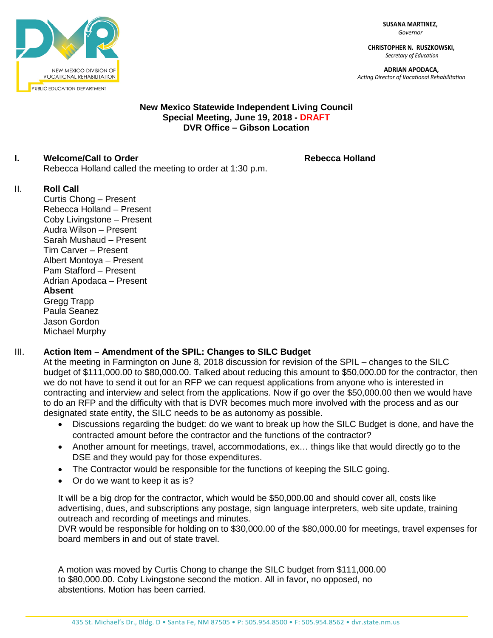**SUSANA MARTINEZ,** *Governor*

**CHRISTOPHER N. RUSZKOWSKI,** *Secretary of Education*

**ADRIAN APODACA,** *Acting Director of Vocational Rehabilitation*



#### **New Mexico Statewide Independent Living Council Special Meeting, June 19, 2018 - DRAFT DVR Office – Gibson Location**

## **I. Welcome/Call to Order Rebecca Holland**

Rebecca Holland called the meeting to order at 1:30 p.m.

### II. **Roll Call**

Curtis Chong – Present Rebecca Holland – Present Coby Livingstone – Present Audra Wilson – Present Sarah Mushaud – Present Tim Carver – Present Albert Montoya – Present Pam Stafford – Present Adrian Apodaca – Present **Absent**  Gregg Trapp Paula Seanez Jason Gordon Michael Murphy

# III. **Action Item – Amendment of the SPIL: Changes to SILC Budget**

At the meeting in Farmington on June 8, 2018 discussion for revision of the SPIL – changes to the SILC budget of \$111,000.00 to \$80,000.00. Talked about reducing this amount to \$50,000.00 for the contractor, then we do not have to send it out for an RFP we can request applications from anyone who is interested in contracting and interview and select from the applications. Now if go over the \$50,000.00 then we would have to do an RFP and the difficulty with that is DVR becomes much more involved with the process and as our designated state entity, the SILC needs to be as autonomy as possible.

- Discussions regarding the budget: do we want to break up how the SILC Budget is done, and have the contracted amount before the contractor and the functions of the contractor?
- Another amount for meetings, travel, accommodations, ex... things like that would directly go to the DSE and they would pay for those expenditures.
- The Contractor would be responsible for the functions of keeping the SILC going.
- Or do we want to keep it as is?

It will be a big drop for the contractor, which would be \$50,000.00 and should cover all, costs like advertising, dues, and subscriptions any postage, sign language interpreters, web site update, training outreach and recording of meetings and minutes.

DVR would be responsible for holding on to \$30,000.00 of the \$80,000.00 for meetings, travel expenses for board members in and out of state travel.

A motion was moved by Curtis Chong to change the SILC budget from \$111,000.00 to \$80,000.00. Coby Livingstone second the motion. All in favor, no opposed, no abstentions. Motion has been carried.